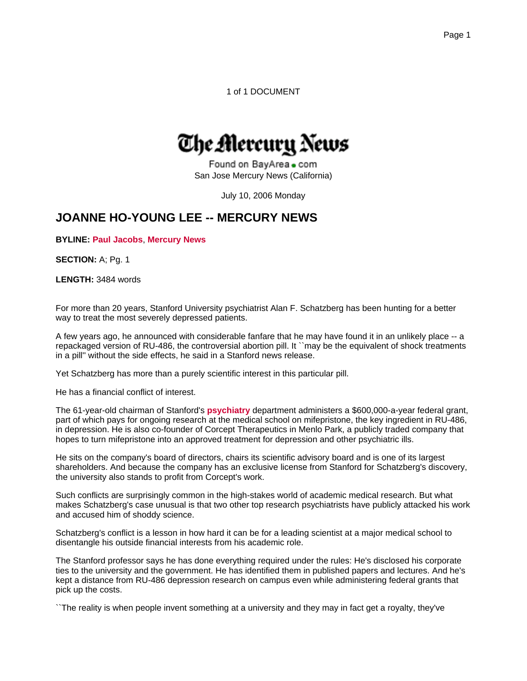1 of 1 DOCUMENT

# The Mercury News

Found on BayArea . com San Jose Mercury News (California)

July 10, 2006 Monday

# **JOANNE HO-YOUNG LEE -- MERCURY NEWS**

**BYLINE: Paul Jacobs**, **Mercury News**

**SECTION:** A; Pg. 1

**LENGTH:** 3484 words

For more than 20 years, Stanford University psychiatrist Alan F. Schatzberg has been hunting for a better way to treat the most severely depressed patients.

A few years ago, he announced with considerable fanfare that he may have found it in an unlikely place -- a repackaged version of RU-486, the controversial abortion pill. It ``may be the equivalent of shock treatments in a pill'' without the side effects, he said in a Stanford news release.

Yet Schatzberg has more than a purely scientific interest in this particular pill.

He has a financial conflict of interest.

The 61-year-old chairman of Stanford's **psychiatry** department administers a \$600,000-a-year federal grant, part of which pays for ongoing research at the medical school on mifepristone, the key ingredient in RU-486, in depression. He is also co-founder of Corcept Therapeutics in Menlo Park, a publicly traded company that hopes to turn mifepristone into an approved treatment for depression and other psychiatric ills.

He sits on the company's board of directors, chairs its scientific advisory board and is one of its largest shareholders. And because the company has an exclusive license from Stanford for Schatzberg's discovery, the university also stands to profit from Corcept's work.

Such conflicts are surprisingly common in the high-stakes world of academic medical research. But what makes Schatzberg's case unusual is that two other top research psychiatrists have publicly attacked his work and accused him of shoddy science.

Schatzberg's conflict is a lesson in how hard it can be for a leading scientist at a major medical school to disentangle his outside financial interests from his academic role.

The Stanford professor says he has done everything required under the rules: He's disclosed his corporate ties to the university and the government. He has identified them in published papers and lectures. And he's kept a distance from RU-486 depression research on campus even while administering federal grants that pick up the costs.

``The reality is when people invent something at a university and they may in fact get a royalty, they've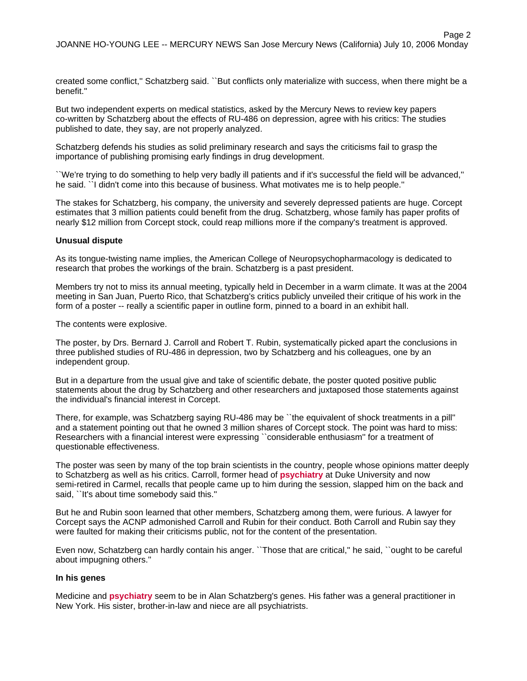created some conflict,'' Schatzberg said. ``But conflicts only materialize with success, when there might be a benefit.''

But two independent experts on medical statistics, asked by the Mercury News to review key papers co-written by Schatzberg about the effects of RU-486 on depression, agree with his critics: The studies published to date, they say, are not properly analyzed.

Schatzberg defends his studies as solid preliminary research and says the criticisms fail to grasp the importance of publishing promising early findings in drug development.

``We're trying to do something to help very badly ill patients and if it's successful the field will be advanced,'' he said. ``I didn't come into this because of business. What motivates me is to help people.''

The stakes for Schatzberg, his company, the university and severely depressed patients are huge. Corcept estimates that 3 million patients could benefit from the drug. Schatzberg, whose family has paper profits of nearly \$12 million from Corcept stock, could reap millions more if the company's treatment is approved.

#### **Unusual dispute**

As its tongue-twisting name implies, the American College of Neuropsychopharmacology is dedicated to research that probes the workings of the brain. Schatzberg is a past president.

Members try not to miss its annual meeting, typically held in December in a warm climate. It was at the 2004 meeting in San Juan, Puerto Rico, that Schatzberg's critics publicly unveiled their critique of his work in the form of a poster -- really a scientific paper in outline form, pinned to a board in an exhibit hall.

The contents were explosive.

The poster, by Drs. Bernard J. Carroll and Robert T. Rubin, systematically picked apart the conclusions in three published studies of RU-486 in depression, two by Schatzberg and his colleagues, one by an independent group.

But in a departure from the usual give and take of scientific debate, the poster quoted positive public statements about the drug by Schatzberg and other researchers and juxtaposed those statements against the individual's financial interest in Corcept.

There, for example, was Schatzberg saying RU-486 may be ``the equivalent of shock treatments in a pill'' and a statement pointing out that he owned 3 million shares of Corcept stock. The point was hard to miss: Researchers with a financial interest were expressing ``considerable enthusiasm'' for a treatment of questionable effectiveness.

The poster was seen by many of the top brain scientists in the country, people whose opinions matter deeply to Schatzberg as well as his critics. Carroll, former head of **psychiatry** at Duke University and now semi-retired in Carmel, recalls that people came up to him during the session, slapped him on the back and said, "It's about time somebody said this."

But he and Rubin soon learned that other members, Schatzberg among them, were furious. A lawyer for Corcept says the ACNP admonished Carroll and Rubin for their conduct. Both Carroll and Rubin say they were faulted for making their criticisms public, not for the content of the presentation.

Even now, Schatzberg can hardly contain his anger. ``Those that are critical,'' he said, ``ought to be careful about impugning others.''

#### **In his genes**

Medicine and **psychiatry** seem to be in Alan Schatzberg's genes. His father was a general practitioner in New York. His sister, brother-in-law and niece are all psychiatrists.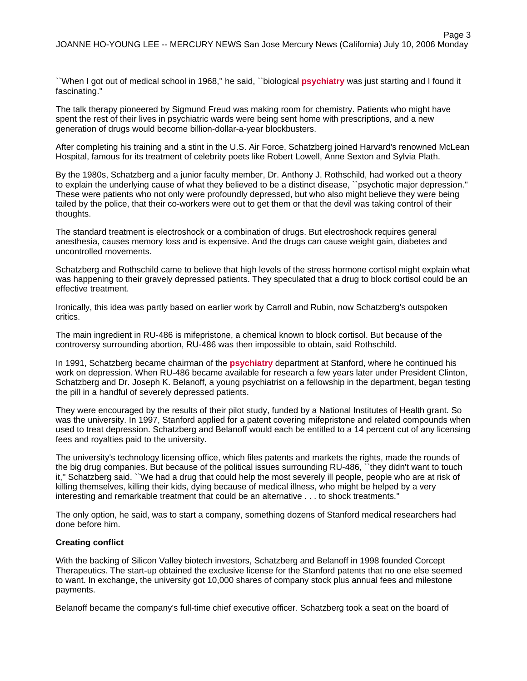``When I got out of medical school in 1968,'' he said, ``biological **psychiatry** was just starting and I found it fascinating.''

The talk therapy pioneered by Sigmund Freud was making room for chemistry. Patients who might have spent the rest of their lives in psychiatric wards were being sent home with prescriptions, and a new generation of drugs would become billion-dollar-a-year blockbusters.

After completing his training and a stint in the U.S. Air Force, Schatzberg joined Harvard's renowned McLean Hospital, famous for its treatment of celebrity poets like Robert Lowell, Anne Sexton and Sylvia Plath.

By the 1980s, Schatzberg and a junior faculty member, Dr. Anthony J. Rothschild, had worked out a theory to explain the underlying cause of what they believed to be a distinct disease, ``psychotic major depression.'' These were patients who not only were profoundly depressed, but who also might believe they were being tailed by the police, that their co-workers were out to get them or that the devil was taking control of their thoughts.

The standard treatment is electroshock or a combination of drugs. But electroshock requires general anesthesia, causes memory loss and is expensive. And the drugs can cause weight gain, diabetes and uncontrolled movements.

Schatzberg and Rothschild came to believe that high levels of the stress hormone cortisol might explain what was happening to their gravely depressed patients. They speculated that a drug to block cortisol could be an effective treatment.

Ironically, this idea was partly based on earlier work by Carroll and Rubin, now Schatzberg's outspoken critics.

The main ingredient in RU-486 is mifepristone, a chemical known to block cortisol. But because of the controversy surrounding abortion, RU-486 was then impossible to obtain, said Rothschild.

In 1991, Schatzberg became chairman of the **psychiatry** department at Stanford, where he continued his work on depression. When RU-486 became available for research a few years later under President Clinton, Schatzberg and Dr. Joseph K. Belanoff, a young psychiatrist on a fellowship in the department, began testing the pill in a handful of severely depressed patients.

They were encouraged by the results of their pilot study, funded by a National Institutes of Health grant. So was the university. In 1997, Stanford applied for a patent covering mifepristone and related compounds when used to treat depression. Schatzberg and Belanoff would each be entitled to a 14 percent cut of any licensing fees and royalties paid to the university.

The university's technology licensing office, which files patents and markets the rights, made the rounds of the big drug companies. But because of the political issues surrounding RU-486, ``they didn't want to touch it,'' Schatzberg said. ``We had a drug that could help the most severely ill people, people who are at risk of killing themselves, killing their kids, dying because of medical illness, who might be helped by a very interesting and remarkable treatment that could be an alternative . . . to shock treatments.''

The only option, he said, was to start a company, something dozens of Stanford medical researchers had done before him.

#### **Creating conflict**

With the backing of Silicon Valley biotech investors, Schatzberg and Belanoff in 1998 founded Corcept Therapeutics. The start-up obtained the exclusive license for the Stanford patents that no one else seemed to want. In exchange, the university got 10,000 shares of company stock plus annual fees and milestone payments.

Belanoff became the company's full-time chief executive officer. Schatzberg took a seat on the board of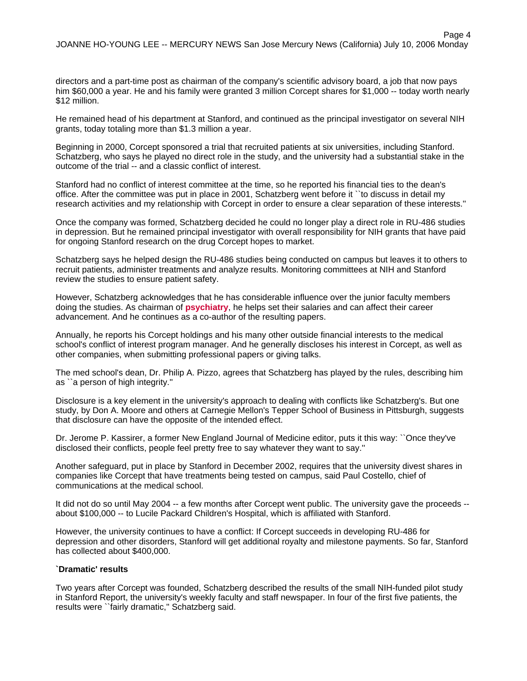directors and a part-time post as chairman of the company's scientific advisory board, a job that now pays him \$60,000 a year. He and his family were granted 3 million Corcept shares for \$1,000 -- today worth nearly \$12 million.

He remained head of his department at Stanford, and continued as the principal investigator on several NIH grants, today totaling more than \$1.3 million a year.

Beginning in 2000, Corcept sponsored a trial that recruited patients at six universities, including Stanford. Schatzberg, who says he played no direct role in the study, and the university had a substantial stake in the outcome of the trial -- and a classic conflict of interest.

Stanford had no conflict of interest committee at the time, so he reported his financial ties to the dean's office. After the committee was put in place in 2001, Schatzberg went before it ``to discuss in detail my research activities and my relationship with Corcept in order to ensure a clear separation of these interests.''

Once the company was formed, Schatzberg decided he could no longer play a direct role in RU-486 studies in depression. But he remained principal investigator with overall responsibility for NIH grants that have paid for ongoing Stanford research on the drug Corcept hopes to market.

Schatzberg says he helped design the RU-486 studies being conducted on campus but leaves it to others to recruit patients, administer treatments and analyze results. Monitoring committees at NIH and Stanford review the studies to ensure patient safety.

However, Schatzberg acknowledges that he has considerable influence over the junior faculty members doing the studies. As chairman of **psychiatry**, he helps set their salaries and can affect their career advancement. And he continues as a co-author of the resulting papers.

Annually, he reports his Corcept holdings and his many other outside financial interests to the medical school's conflict of interest program manager. And he generally discloses his interest in Corcept, as well as other companies, when submitting professional papers or giving talks.

The med school's dean, Dr. Philip A. Pizzo, agrees that Schatzberg has played by the rules, describing him as ``a person of high integrity.''

Disclosure is a key element in the university's approach to dealing with conflicts like Schatzberg's. But one study, by Don A. Moore and others at Carnegie Mellon's Tepper School of Business in Pittsburgh, suggests that disclosure can have the opposite of the intended effect.

Dr. Jerome P. Kassirer, a former New England Journal of Medicine editor, puts it this way: ``Once they've disclosed their conflicts, people feel pretty free to say whatever they want to say.''

Another safeguard, put in place by Stanford in December 2002, requires that the university divest shares in companies like Corcept that have treatments being tested on campus, said Paul Costello, chief of communications at the medical school.

It did not do so until May 2004 -- a few months after Corcept went public. The university gave the proceeds - about \$100,000 -- to Lucile Packard Children's Hospital, which is affiliated with Stanford.

However, the university continues to have a conflict: If Corcept succeeds in developing RU-486 for depression and other disorders, Stanford will get additional royalty and milestone payments. So far, Stanford has collected about \$400,000.

# **`Dramatic' results**

Two years after Corcept was founded, Schatzberg described the results of the small NIH-funded pilot study in Stanford Report, the university's weekly faculty and staff newspaper. In four of the first five patients, the results were ``fairly dramatic,'' Schatzberg said.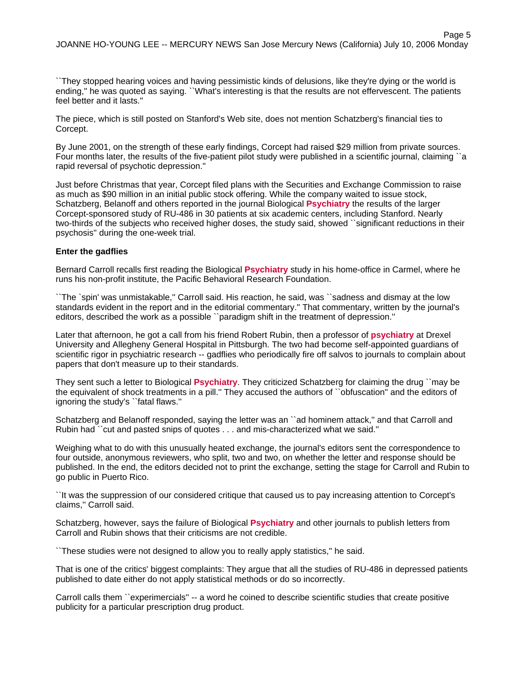Page 5

``They stopped hearing voices and having pessimistic kinds of delusions, like they're dying or the world is ending,'' he was quoted as saying. ``What's interesting is that the results are not effervescent. The patients feel better and it lasts.''

The piece, which is still posted on Stanford's Web site, does not mention Schatzberg's financial ties to Corcept.

By June 2001, on the strength of these early findings, Corcept had raised \$29 million from private sources. Four months later, the results of the five-patient pilot study were published in a scientific journal, claiming ``a rapid reversal of psychotic depression.''

Just before Christmas that year, Corcept filed plans with the Securities and Exchange Commission to raise as much as \$90 million in an initial public stock offering. While the company waited to issue stock, Schatzberg, Belanoff and others reported in the journal Biological **Psychiatry** the results of the larger Corcept-sponsored study of RU-486 in 30 patients at six academic centers, including Stanford. Nearly two-thirds of the subjects who received higher doses, the study said, showed ``significant reductions in their psychosis'' during the one-week trial.

#### **Enter the gadflies**

Bernard Carroll recalls first reading the Biological **Psychiatry** study in his home-office in Carmel, where he runs his non-profit institute, the Pacific Behavioral Research Foundation.

``The `spin' was unmistakable,'' Carroll said. His reaction, he said, was ``sadness and dismay at the low standards evident in the report and in the editorial commentary.'' That commentary, written by the journal's editors, described the work as a possible ``paradigm shift in the treatment of depression.''

Later that afternoon, he got a call from his friend Robert Rubin, then a professor of **psychiatry** at Drexel University and Allegheny General Hospital in Pittsburgh. The two had become self-appointed guardians of scientific rigor in psychiatric research -- gadflies who periodically fire off salvos to journals to complain about papers that don't measure up to their standards.

They sent such a letter to Biological **Psychiatry**. They criticized Schatzberg for claiming the drug ``may be the equivalent of shock treatments in a pill.'' They accused the authors of ``obfuscation'' and the editors of ignoring the study's ``fatal flaws.''

Schatzberg and Belanoff responded, saying the letter was an ``ad hominem attack," and that Carroll and Rubin had ``cut and pasted snips of quotes . . . and mis-characterized what we said.''

Weighing what to do with this unusually heated exchange, the journal's editors sent the correspondence to four outside, anonymous reviewers, who split, two and two, on whether the letter and response should be published. In the end, the editors decided not to print the exchange, setting the stage for Carroll and Rubin to go public in Puerto Rico.

``It was the suppression of our considered critique that caused us to pay increasing attention to Corcept's claims,'' Carroll said.

Schatzberg, however, says the failure of Biological **Psychiatry** and other journals to publish letters from Carroll and Rubin shows that their criticisms are not credible.

``These studies were not designed to allow you to really apply statistics,'' he said.

That is one of the critics' biggest complaints: They argue that all the studies of RU-486 in depressed patients published to date either do not apply statistical methods or do so incorrectly.

Carroll calls them ``experimercials'' -- a word he coined to describe scientific studies that create positive publicity for a particular prescription drug product.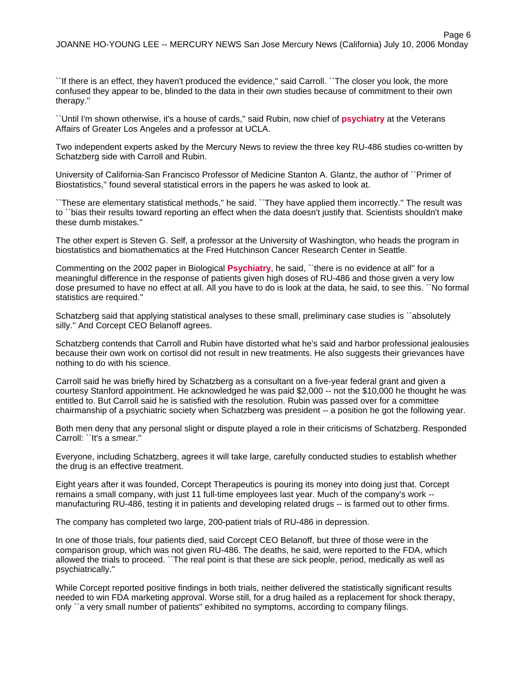Page 6

``If there is an effect, they haven't produced the evidence,'' said Carroll. ``The closer you look, the more confused they appear to be, blinded to the data in their own studies because of commitment to their own therapy.''

``Until I'm shown otherwise, it's a house of cards,'' said Rubin, now chief of **psychiatry** at the Veterans Affairs of Greater Los Angeles and a professor at UCLA.

Two independent experts asked by the Mercury News to review the three key RU-486 studies co-written by Schatzberg side with Carroll and Rubin.

University of California-San Francisco Professor of Medicine Stanton A. Glantz, the author of ``Primer of Biostatistics,'' found several statistical errors in the papers he was asked to look at.

``These are elementary statistical methods,'' he said. ``They have applied them incorrectly.'' The result was to ``bias their results toward reporting an effect when the data doesn't justify that. Scientists shouldn't make these dumb mistakes.''

The other expert is Steven G. Self, a professor at the University of Washington, who heads the program in biostatistics and biomathematics at the Fred Hutchinson Cancer Research Center in Seattle.

Commenting on the 2002 paper in Biological **Psychiatry**, he said, ``there is no evidence at all'' for a meaningful difference in the response of patients given high doses of RU-486 and those given a very low dose presumed to have no effect at all. All you have to do is look at the data, he said, to see this. ``No formal statistics are required.''

Schatzberg said that applying statistical analyses to these small, preliminary case studies is "absolutely silly.'' And Corcept CEO Belanoff agrees.

Schatzberg contends that Carroll and Rubin have distorted what he's said and harbor professional jealousies because their own work on cortisol did not result in new treatments. He also suggests their grievances have nothing to do with his science.

Carroll said he was briefly hired by Schatzberg as a consultant on a five-year federal grant and given a courtesy Stanford appointment. He acknowledged he was paid \$2,000 -- not the \$10,000 he thought he was entitled to. But Carroll said he is satisfied with the resolution. Rubin was passed over for a committee chairmanship of a psychiatric society when Schatzberg was president -- a position he got the following year.

Both men deny that any personal slight or dispute played a role in their criticisms of Schatzberg. Responded Carroll: ``It's a smear.''

Everyone, including Schatzberg, agrees it will take large, carefully conducted studies to establish whether the drug is an effective treatment.

Eight years after it was founded, Corcept Therapeutics is pouring its money into doing just that. Corcept remains a small company, with just 11 full-time employees last year. Much of the company's work - manufacturing RU-486, testing it in patients and developing related drugs -- is farmed out to other firms.

The company has completed two large, 200-patient trials of RU-486 in depression.

In one of those trials, four patients died, said Corcept CEO Belanoff, but three of those were in the comparison group, which was not given RU-486. The deaths, he said, were reported to the FDA, which allowed the trials to proceed. ``The real point is that these are sick people, period, medically as well as psychiatrically.''

While Corcept reported positive findings in both trials, neither delivered the statistically significant results needed to win FDA marketing approval. Worse still, for a drug hailed as a replacement for shock therapy, only ``a very small number of patients'' exhibited no symptoms, according to company filings.